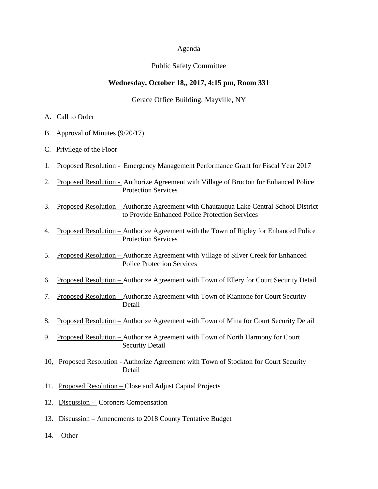#### Agenda

#### Public Safety Committee

#### **Wednesday, October 18,, 2017, 4:15 pm, Room 331**

#### Gerace Office Building, Mayville, NY

- A. Call to Order
- B. Approval of Minutes (9/20/17)
- C. Privilege of the Floor
- 1. Proposed Resolution Emergency Management Performance Grant for Fiscal Year 2017
- 2. Proposed Resolution Authorize Agreement with Village of Brocton for Enhanced Police Protection Services
- 3. Proposed Resolution Authorize Agreement with Chautauqua Lake Central School District to Provide Enhanced Police Protection Services
- 4. Proposed Resolution Authorize Agreement with the Town of Ripley for Enhanced Police Protection Services
- 5. Proposed Resolution Authorize Agreement with Village of Silver Creek for Enhanced Police Protection Services
- 6. Proposed Resolution Authorize Agreement with Town of Ellery for Court Security Detail
- 7. Proposed Resolution Authorize Agreement with Town of Kiantone for Court Security Detail
- 8. Proposed Resolution Authorize Agreement with Town of Mina for Court Security Detail
- 9. Proposed Resolution Authorize Agreement with Town of North Harmony for Court Security Detail
- 10, Proposed Resolution Authorize Agreement with Town of Stockton for Court Security Detail
- 11. Proposed Resolution Close and Adjust Capital Projects
- 12. Discussion Coroners Compensation
- 13. Discussion Amendments to 2018 County Tentative Budget
- 14. Other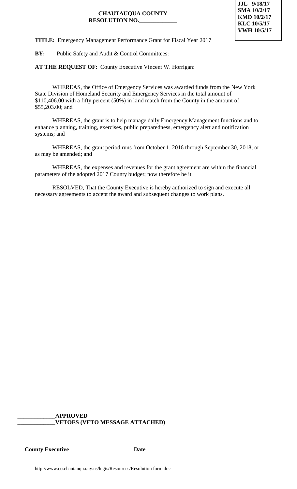

**TITLE:** Emergency Management Performance Grant for Fiscal Year 2017

**BY:** Public Safety and Audit & Control Committees:

**AT THE REQUEST OF:** County Executive Vincent W. Horrigan:

WHEREAS, the Office of Emergency Services was awarded funds from the New York State Division of Homeland Security and Emergency Services in the total amount of \$110,406.00 with a fifty percent (50%) in kind match from the County in the amount of \$55,203.00; and

WHEREAS, the grant is to help manage daily Emergency Management functions and to enhance planning, training, exercises, public preparedness, emergency alert and notification systems; and

WHEREAS, the grant period runs from October 1, 2016 through September 30, 2018, or as may be amended; and

WHEREAS, the expenses and revenues for the grant agreement are within the financial parameters of the adopted 2017 County budget; now therefore be it

RESOLVED, That the County Executive is hereby authorized to sign and execute all necessary agreements to accept the award and subsequent changes to work plans.

**\_\_\_\_\_\_\_\_\_\_\_\_\_APPROVED \_\_\_\_\_\_\_\_\_\_\_\_\_VETOES (VETO MESSAGE ATTACHED)**

**County Executive Date**

\_\_\_\_\_\_\_\_\_\_\_\_\_\_\_\_\_\_\_\_\_\_\_\_\_\_\_\_\_\_\_\_\_\_ \_\_\_\_\_\_\_\_\_\_\_\_\_\_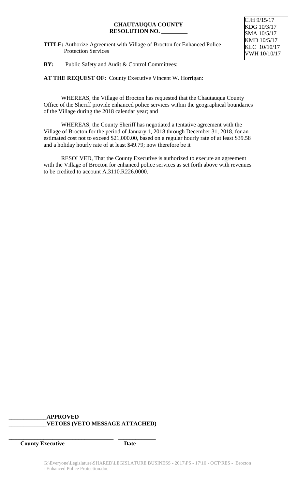**TITLE:** Authorize Agreement with Village of Brocton for Enhanced Police Protection Services



## **BY:** Public Safety and Audit & Control Committees:

**AT THE REQUEST OF:** County Executive Vincent W. Horrigan:

WHEREAS, the Village of Brocton has requested that the Chautauqua County Office of the Sheriff provide enhanced police services within the geographical boundaries of the Village during the 2018 calendar year; and

WHEREAS, the County Sheriff has negotiated a tentative agreement with the Village of Brocton for the period of January 1, 2018 through December 31, 2018, for an estimated cost not to exceed \$21,000.00, based on a regular hourly rate of at least \$39.58 and a holiday hourly rate of at least \$49.79; now therefore be it

RESOLVED, That the County Executive is authorized to execute an agreement with the Village of Brocton for enhanced police services as set forth above with revenues to be credited to account A.3110.R226.0000.

## **\_\_\_\_\_\_\_\_\_\_\_\_\_APPROVED \_\_\_\_\_\_\_\_\_\_\_\_\_VETOES (VETO MESSAGE ATTACHED)**

**\_\_\_\_\_\_\_\_\_\_\_\_\_\_\_\_\_\_\_\_\_\_\_\_\_\_\_\_\_\_\_\_\_\_\_\_ \_\_\_\_\_\_\_\_\_\_\_\_\_**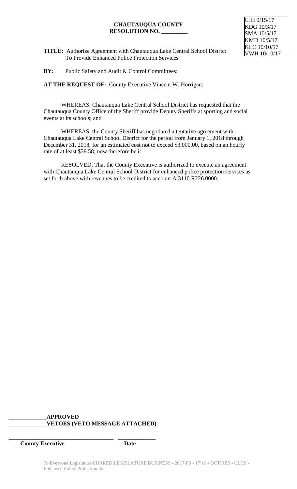

- **TITLE:** Authorize Agreement with Chautauqua Lake Central School District To Provide Enhanced Police Protection Services
- **BY:** Public Safety and Audit & Control Committees:

**AT THE REQUEST OF:** County Executive Vincent W. Horrigan:

WHEREAS, Chautauqua Lake Central School District has requested that the Chautauqua County Office of the Sheriff provide Deputy Sheriffs at sporting and social events at its schools; and

WHEREAS, the County Sheriff has negotiated a tentative agreement with Chautauqua Lake Central School District for the period from January 1, 2018 through December 31, 2018, for an estimated cost not to exceed \$3,000.00, based on an hourly rate of at least \$39.58; now therefore be it

RESOLVED, That the County Executive is authorized to execute an agreement with Chautauqua Lake Central School District for enhanced police protection services as set forth above with revenues to be credited to account A.3110.R226.0000.

## **\_\_\_\_\_\_\_\_\_\_\_\_\_APPROVED \_\_\_\_\_\_\_\_\_\_\_\_\_VETOES (VETO MESSAGE ATTACHED)**

**\_\_\_\_\_\_\_\_\_\_\_\_\_\_\_\_\_\_\_\_\_\_\_\_\_\_\_\_\_\_\_\_\_\_\_\_ \_\_\_\_\_\_\_\_\_\_\_\_\_**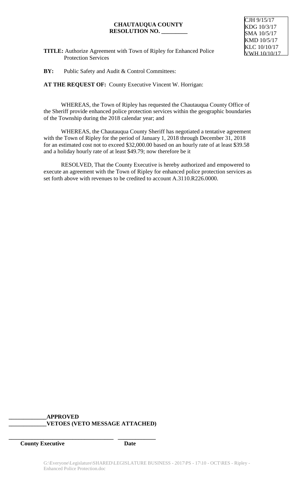

**TITLE:** Authorize Agreement with Town of Ripley for Enhanced Police Protection Services

**BY:** Public Safety and Audit & Control Committees:

**AT THE REQUEST OF:** County Executive Vincent W. Horrigan:

WHEREAS, the Town of Ripley has requested the Chautauqua County Office of the Sheriff provide enhanced police protection services within the geographic boundaries of the Township during the 2018 calendar year; and

WHEREAS, the Chautauqua County Sheriff has negotiated a tentative agreement with the Town of Ripley for the period of January 1, 2018 through December 31, 2018 for an estimated cost not to exceed \$32,000.00 based on an hourly rate of at least \$39.58 and a holiday hourly rate of at least \$49.79; now therefore be it

RESOLVED, That the County Executive is hereby authorized and empowered to execute an agreement with the Town of Ripley for enhanced police protection services as set forth above with revenues to be credited to account A.3110.R226.0000.

# **\_\_\_\_\_\_\_\_\_\_\_\_\_APPROVED \_\_\_\_\_\_\_\_\_\_\_\_\_VETOES (VETO MESSAGE ATTACHED)**

**\_\_\_\_\_\_\_\_\_\_\_\_\_\_\_\_\_\_\_\_\_\_\_\_\_\_\_\_\_\_\_\_\_\_\_\_ \_\_\_\_\_\_\_\_\_\_\_\_\_**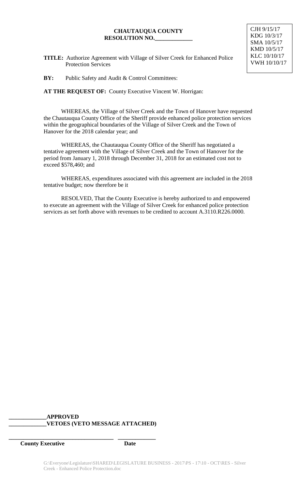- **TITLE:** Authorize Agreement with Village of Silver Creek for Enhanced Police Protection Services
- **BY:** Public Safety and Audit & Control Committees:

**AT THE REQUEST OF:** County Executive Vincent W. Horrigan:

WHEREAS, the Village of Silver Creek and the Town of Hanover have requested the Chautauqua County Office of the Sheriff provide enhanced police protection services within the geographical boundaries of the Village of Silver Creek and the Town of Hanover for the 2018 calendar year; and

WHEREAS, the Chautauqua County Office of the Sheriff has negotiated a tentative agreement with the Village of Silver Creek and the Town of Hanover for the period from January 1, 2018 through December 31, 2018 for an estimated cost not to exceed \$578,460; and

WHEREAS, expenditures associated with this agreement are included in the 2018 tentative budget; now therefore be it

RESOLVED, That the County Executive is hereby authorized to and empowered to execute an agreement with the Village of Silver Creek for enhanced police protection services as set forth above with revenues to be credited to account A.3110.R226.0000.

# **\_\_\_\_\_\_\_\_\_\_\_\_\_APPROVED \_\_\_\_\_\_\_\_\_\_\_\_\_VETOES (VETO MESSAGE ATTACHED)**

**\_\_\_\_\_\_\_\_\_\_\_\_\_\_\_\_\_\_\_\_\_\_\_\_\_\_\_\_\_\_\_\_\_\_\_\_ \_\_\_\_\_\_\_\_\_\_\_\_\_**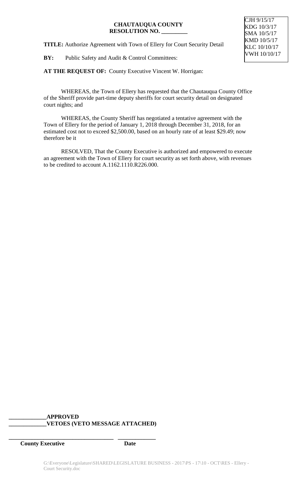**TITLE:** Authorize Agreement with Town of Ellery for Court Security Detail

**BY:** Public Safety and Audit & Control Committees:

**AT THE REQUEST OF:** County Executive Vincent W. Horrigan:

WHEREAS, the Town of Ellery has requested that the Chautauqua County Office of the Sheriff provide part-time deputy sheriffs for court security detail on designated court nights; and

WHEREAS, the County Sheriff has negotiated a tentative agreement with the Town of Ellery for the period of January 1, 2018 through December 31, 2018, for an estimated cost not to exceed \$2,500.00, based on an hourly rate of at least \$29.49; now therefore be it

RESOLVED, That the County Executive is authorized and empowered to execute an agreement with the Town of Ellery for court security as set forth above, with revenues to be credited to account A.1162.1110.R226.000.

## **\_\_\_\_\_\_\_\_\_\_\_\_\_APPROVED \_\_\_\_\_\_\_\_\_\_\_\_\_VETOES (VETO MESSAGE ATTACHED)**

**\_\_\_\_\_\_\_\_\_\_\_\_\_\_\_\_\_\_\_\_\_\_\_\_\_\_\_\_\_\_\_\_\_\_\_\_ \_\_\_\_\_\_\_\_\_\_\_\_\_**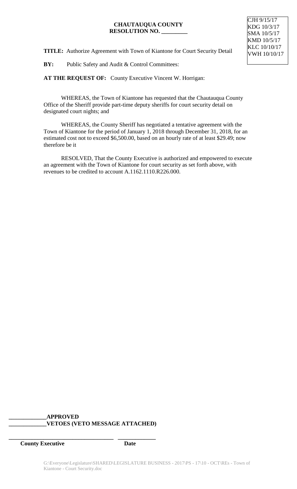

**TITLE:** Authorize Agreement with Town of Kiantone for Court Security Detail

**BY:** Public Safety and Audit & Control Committees:

**AT THE REQUEST OF:** County Executive Vincent W. Horrigan:

WHEREAS, the Town of Kiantone has requested that the Chautauqua County Office of the Sheriff provide part-time deputy sheriffs for court security detail on designated court nights; and

WHEREAS, the County Sheriff has negotiated a tentative agreement with the Town of Kiantone for the period of January 1, 2018 through December 31, 2018, for an estimated cost not to exceed \$6,500.00, based on an hourly rate of at least \$29.49; now therefore be it

RESOLVED, That the County Executive is authorized and empowered to execute an agreement with the Town of Kiantone for court security as set forth above, with revenues to be credited to account A.1162.1110.R226.000.

# **\_\_\_\_\_\_\_\_\_\_\_\_\_APPROVED \_\_\_\_\_\_\_\_\_\_\_\_\_VETOES (VETO MESSAGE ATTACHED)**

**\_\_\_\_\_\_\_\_\_\_\_\_\_\_\_\_\_\_\_\_\_\_\_\_\_\_\_\_\_\_\_\_\_\_\_\_ \_\_\_\_\_\_\_\_\_\_\_\_\_**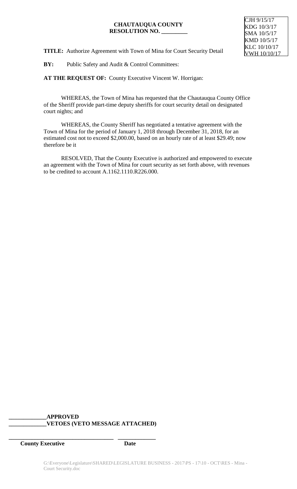

**TITLE:** Authorize Agreement with Town of Mina for Court Security Detail

**BY:** Public Safety and Audit & Control Committees:

**AT THE REQUEST OF:** County Executive Vincent W. Horrigan:

WHEREAS, the Town of Mina has requested that the Chautauqua County Office of the Sheriff provide part-time deputy sheriffs for court security detail on designated court nights; and

WHEREAS, the County Sheriff has negotiated a tentative agreement with the Town of Mina for the period of January 1, 2018 through December 31, 2018, for an estimated cost not to exceed \$2,000.00, based on an hourly rate of at least \$29.49; now therefore be it

RESOLVED, That the County Executive is authorized and empowered to execute an agreement with the Town of Mina for court security as set forth above, with revenues to be credited to account A.1162.1110.R226.000.

# **\_\_\_\_\_\_\_\_\_\_\_\_\_APPROVED \_\_\_\_\_\_\_\_\_\_\_\_\_VETOES (VETO MESSAGE ATTACHED)**

**\_\_\_\_\_\_\_\_\_\_\_\_\_\_\_\_\_\_\_\_\_\_\_\_\_\_\_\_\_\_\_\_\_\_\_\_ \_\_\_\_\_\_\_\_\_\_\_\_\_**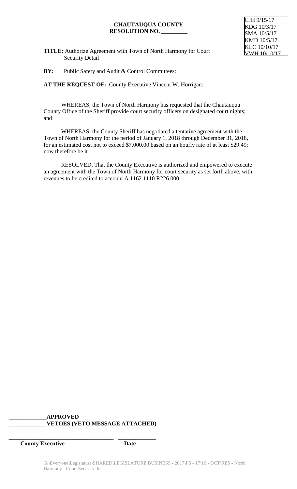

**TITLE:** Authorize Agreement with Town of North Harmony for Court **Security Detail** 

**BY:** Public Safety and Audit & Control Committees:

**AT THE REQUEST OF:** County Executive Vincent W. Horrigan:

WHEREAS, the Town of North Harmony has requested that the Chautauqua County Office of the Sheriff provide court security officers on designated court nights; and

WHEREAS, the County Sheriff has negotiated a tentative agreement with the Town of North Harmony for the period of January 1, 2018 through December 31, 2018, for an estimated cost not to exceed \$7,000.00 based on an hourly rate of at least \$29.49; now therefore be it

RESOLVED, That the County Executive is authorized and empowered to execute an agreement with the Town of North Harmony for court security as set forth above, with revenues to be credited to account A.1162.1110.R226.000.

# **\_\_\_\_\_\_\_\_\_\_\_\_\_APPROVED \_\_\_\_\_\_\_\_\_\_\_\_\_VETOES (VETO MESSAGE ATTACHED)**

**\_\_\_\_\_\_\_\_\_\_\_\_\_\_\_\_\_\_\_\_\_\_\_\_\_\_\_\_\_\_\_\_\_\_\_\_ \_\_\_\_\_\_\_\_\_\_\_\_\_**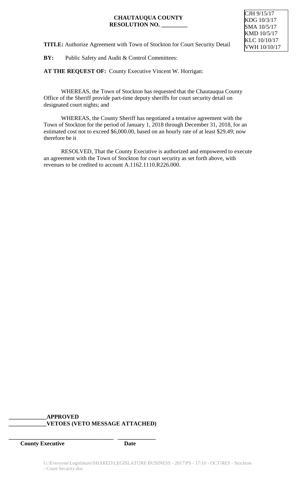**TITLE:** Authorize Agreement with Town of Stockton for Court Security Detail

**BY:** Public Safety and Audit & Control Committees:

**AT THE REQUEST OF:** County Executive Vincent W. Horrigan:

WHEREAS, the Town of Stockton has requested that the Chautauqua County Office of the Sheriff provide part-time deputy sheriffs for court security detail on designated court nights; and

WHEREAS, the County Sheriff has negotiated a tentative agreement with the Town of Stockton for the period of January 1, 2018 through December 31, 2018, for an estimated cost not to exceed \$6,000.00, based on an hourly rate of at least \$29.49; now therefore be it

RESOLVED, That the County Executive is authorized and empowered to execute an agreement with the Town of Stockton for court security as set forth above, with revenues to be credited to account A.1162.1110.R226.000.

## **\_\_\_\_\_\_\_\_\_\_\_\_\_APPROVED \_\_\_\_\_\_\_\_\_\_\_\_\_VETOES (VETO MESSAGE ATTACHED)**

**\_\_\_\_\_\_\_\_\_\_\_\_\_\_\_\_\_\_\_\_\_\_\_\_\_\_\_\_\_\_\_\_\_\_\_\_ \_\_\_\_\_\_\_\_\_\_\_\_\_**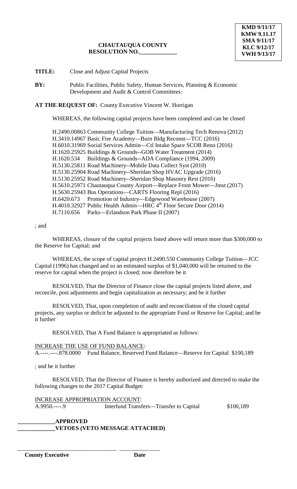**TITLE:** Close and Adjust Capital Projects

**BY:** Public Facilities, Public Safety, Human Services, Planning & Economic Development and Audit & Control Committees:

**AT THE REQUEST OF:** County Executive Vincent W. Horrigan

WHEREAS, the following capital projects have been completed and can be closed

H.2490.00863 Community College Tuition—Manufacturing Tech Renova (2012) H.3410.14967 Basic Fire Academy—Burn Bldg Reconst—TCC (2016) H.6010.31969 Social Services Admin—Ctl Intake Space SCOB Reno (2016) H.1620.25925 Buildings & Grounds--GOB Water Treatment (2014) H.1620.534 Buildings & Grounds--ADA Compliance (1994, 2009) H.5130.25811 Road Machinery--Mobile Data Collect Syst (2010) H.5130.25904 Road Machinery--Sheridan Shop HVAC Upgrade (2016) H.5130.25952 Road Machinery--Sheridan Shop Masonry Rest (2016) H.5610.25971 Chautauqua County Airport—Replace Front Mower—Jmst (2017) H.5630.25943 Bus Operations—CARTS Flooring Repl (2016) H.6420.673 Promotion of Industry—Edgewood Warehouse (2007) H.4010.32927 Public Health Admin—HRC 4<sup>th</sup> Floor Secure Door (2014) H.7110.656 Parks—Erlandson Park Phase II (2007)

### ; and

WHEREAS, closure of the capital projects listed above will return more than \$300,000 to the Reserve for Capital; and

WHEREAS, the scope of capital project H.2490.550 Community College Tuition—JCC Capital (1996) has changed and so an estimated surplus of \$1,040,000 will be returned to the reserve for capital when the project is closed; now therefore be it

RESOLVED, That the Director of Finance close the capital projects listed above, and reconcile, post adjustments and begin capitalization as necessary; and be it further

RESOLVED, That, upon completion of audit and reconciliation of the closed capital projects, any surplus or deficit be adjusted to the appropriate Fund or Reserve for Capital; and be it further

RESOLVED, That A Fund Balance is appropriated as follows:

#### INCREASE THE USE OF FUND BALANCE:

\_\_\_\_\_\_\_\_\_\_\_\_\_\_\_\_\_\_\_\_\_\_\_\_\_\_\_\_\_\_\_\_\_\_ \_\_\_\_\_\_\_\_\_\_\_\_\_\_

A.----.----.878.0000 Fund Balance, Reserved Fund Balance—Reserve for Capital \$100,189

; and be it further

RESOLVED, That the Director of Finance is hereby authorized and directed to make the following changes to the 2017 Capital Budget:

INCREASE APPROPRIATION ACCOUNT:<br>A.9950.----.9 Interfund Transf Interfund Transfers—Transfer to Capital \$100,189

**\_\_\_\_\_\_\_\_\_\_\_\_\_APPROVED \_\_\_\_\_\_\_\_\_\_\_\_\_VETOES (VETO MESSAGE ATTACHED)**